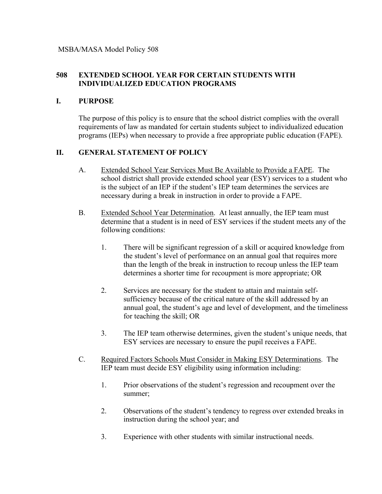## **508 EXTENDED SCHOOL YEAR FOR CERTAIN STUDENTS WITH INDIVIDUALIZED EDUCATION PROGRAMS**

## **I. PURPOSE**

The purpose of this policy is to ensure that the school district complies with the overall requirements of law as mandated for certain students subject to individualized education programs (IEPs) when necessary to provide a free appropriate public education (FAPE).

## **II. GENERAL STATEMENT OF POLICY**

- A. Extended School Year Services Must Be Available to Provide a FAPE. The school district shall provide extended school year (ESY) services to a student who is the subject of an IEP if the student's IEP team determines the services are necessary during a break in instruction in order to provide a FAPE.
- B. Extended School Year Determination. At least annually, the IEP team must determine that a student is in need of ESY services if the student meets any of the following conditions:
	- 1. There will be significant regression of a skill or acquired knowledge from the student's level of performance on an annual goal that requires more than the length of the break in instruction to recoup unless the IEP team determines a shorter time for recoupment is more appropriate; OR
	- 2. Services are necessary for the student to attain and maintain selfsufficiency because of the critical nature of the skill addressed by an annual goal, the student's age and level of development, and the timeliness for teaching the skill; OR
	- 3. The IEP team otherwise determines, given the student's unique needs, that ESY services are necessary to ensure the pupil receives a FAPE.
- C. Required Factors Schools Must Consider in Making ESY Determinations. The IEP team must decide ESY eligibility using information including:
	- 1. Prior observations of the student's regression and recoupment over the summer;
	- 2. Observations of the student's tendency to regress over extended breaks in instruction during the school year; and
	- 3. Experience with other students with similar instructional needs.